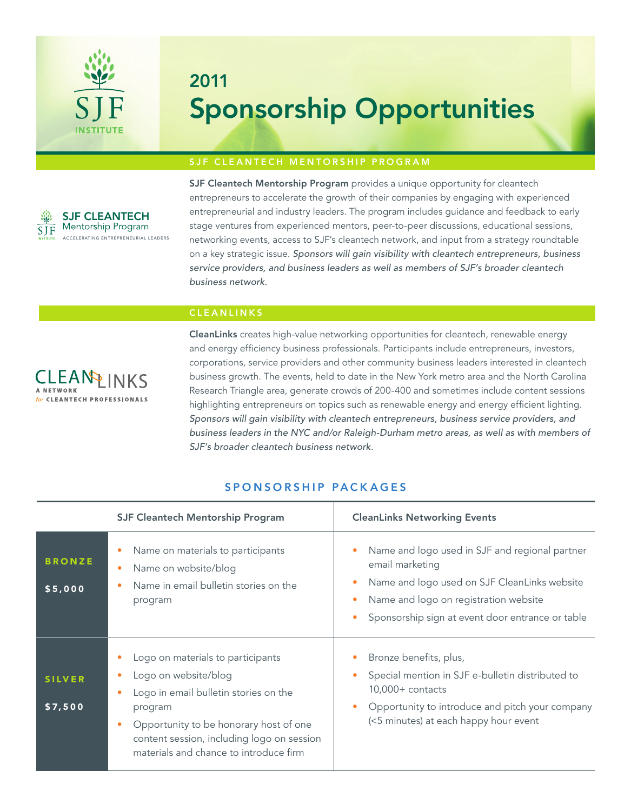

# 2011 Sponsorship Opportunities

## SJF CLEANTECH MENTORSHIP PROGRAM



SJF Cleantech Mentorship Program provides a unique opportunity for cleantech entrepreneurs to accelerate the growth of their companies by engaging with experienced entrepreneurial and industry leaders. The program includes guidance and feedback to early stage ventures from experienced mentors, peer-to-peer discussions, educational sessions, networking events, access to SJF's cleantech network, and input from a strategy roundtable on a key strategic issue. *Sponsors will gain visibility with cleantech entrepreneurs, business service providers, and business leaders as well as members of SJF's broader cleantech business network.*

## **CLEANLINKS**



CleanLinks creates high-value networking opportunities for cleantech, renewable energy and energy efficiency business professionals. Participants include entrepreneurs, investors, corporations, service providers and other community business leaders interested in cleantech business growth. The events, held to date in the New York metro area and the North Carolina Research Triangle area, generate crowds of 200-400 and sometimes include content sessions highlighting entrepreneurs on topics such as renewable energy and energy efficient lighting. *Sponsors will gain visibility with cleantech entrepreneurs, business service providers, and business leaders in the NYC and/or Raleigh-Durham metro areas, as well as with members of SJF's broader cleantech business network.* 

|                          | <b>SJF Cleantech Mentorship Program</b>                                                                                                                                                                                                         | <b>CleanLinks Networking Events</b>                                                                                                                                                                                                                                |
|--------------------------|-------------------------------------------------------------------------------------------------------------------------------------------------------------------------------------------------------------------------------------------------|--------------------------------------------------------------------------------------------------------------------------------------------------------------------------------------------------------------------------------------------------------------------|
| <b>BRONZE</b><br>\$5,000 | Name on materials to participants<br>Name on website/blog<br>$\bullet$<br>Name in email bulletin stories on the<br>program                                                                                                                      | Name and logo used in SJF and regional partner<br>$\bullet$<br>email marketing<br>Name and logo used on SJF CleanLinks website<br>$\bullet$<br>Name and logo on registration website<br>$\bullet$<br>Sponsorship sign at event door entrance or table<br>$\bullet$ |
| <b>SILVER</b><br>\$7,500 | Logo on materials to participants<br>Logo on website/blog<br>Logo in email bulletin stories on the<br>program<br>Opportunity to be honorary host of one<br>content session, including logo on session<br>materials and chance to introduce firm | Bronze benefits, plus,<br>Special mention in SJF e-bulletin distributed to<br>$\bullet$<br>$10,000+$ contacts<br>Opportunity to introduce and pitch your company<br>$\bullet$<br>(<5 minutes) at each happy hour event                                             |

#### SPONSORSHIP PACKAGES